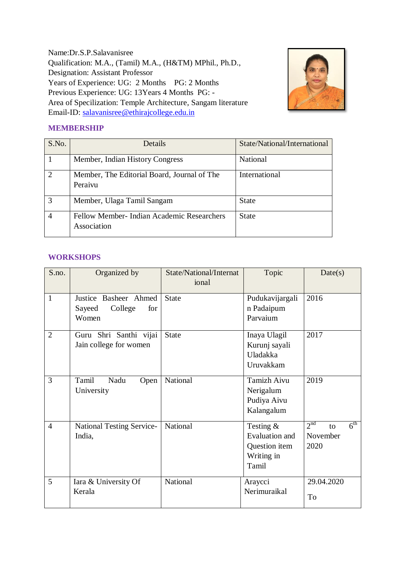Name:Dr.S.P.Salavanisree Qualification: M.A., (Tamil) M.A., (H&TM) MPhil., Ph.D., Designation: Assistant Professor Years of Experience: UG: 2 Months PG: 2 Months Previous Experience: UG: 13Years 4 Months PG: - Area of Specilization: Temple Architecture, Sangam literature Email-ID: [salavanisree@ethirajcollege.edu.in](mailto:salavanisree@ethirajcollege.edu.in)



## **MEMBERSHIP**

| S.No.          | Details                                                   | State/National/International |
|----------------|-----------------------------------------------------------|------------------------------|
|                | Member, Indian History Congress                           | <b>National</b>              |
| $\overline{2}$ | Member, The Editorial Board, Journal of The<br>Peraivu    | International                |
| 3              | Member, Ulaga Tamil Sangam                                | <b>State</b>                 |
| $\overline{4}$ | Fellow Member- Indian Academic Researchers<br>Association | <b>State</b>                 |

#### **WORKSHOPS**

| S.no.          | Organized by                                               | State/National/Internat<br>ional | Topic                                                                 | Date(s)                                                      |
|----------------|------------------------------------------------------------|----------------------------------|-----------------------------------------------------------------------|--------------------------------------------------------------|
| $\mathbf{1}$   | Justice Basheer Ahmed<br>College<br>Sayeed<br>for<br>Women | <b>State</b>                     | Pudukavijargali<br>n Padaipum<br>Parvaium                             | 2016                                                         |
| $\overline{2}$ | Guru Shri Santhi vijai<br>Jain college for women           | <b>State</b>                     | Inaya Ulagil<br>Kurunj sayali<br>Uladakka<br>Uruvakkam                | 2017                                                         |
| 3              | Tamil<br>Nadu<br>Open<br>University                        | National                         | <b>Tamizh Aivu</b><br>Nerigalum<br>Pudiya Aivu<br>Kalangalum          | 2019                                                         |
| $\overline{4}$ | <b>National Testing Service-</b><br>India,                 | National                         | Testing $&$<br>Evaluation and<br>Question item<br>Writing in<br>Tamil | 2 <sup>nd</sup><br>$6^{\text{th}}$<br>to<br>November<br>2020 |
| 5              | Iara & University Of<br>Kerala                             | National                         | Araycci<br>Nerimuraikal                                               | 29.04.2020<br>To                                             |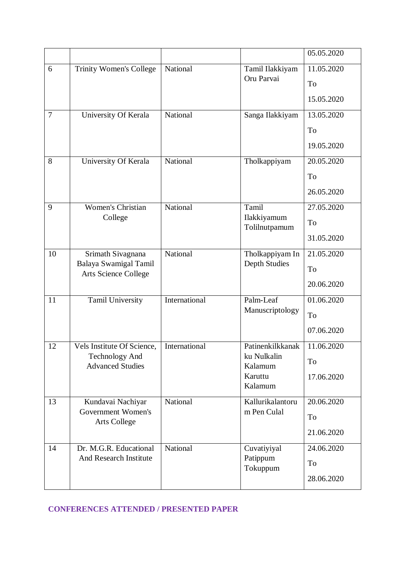|                |                                                  |               |                                 | 05.05.2020 |
|----------------|--------------------------------------------------|---------------|---------------------------------|------------|
| 6              | Trinity Women's College                          | National      | Tamil Ilakkiyam                 | 11.05.2020 |
|                |                                                  |               | Oru Parvai                      | To         |
|                |                                                  |               |                                 | 15.05.2020 |
| $\overline{7}$ | University Of Kerala                             | National      | Sanga Ilakkiyam                 | 13.05.2020 |
|                |                                                  |               |                                 | To         |
|                |                                                  |               |                                 | 19.05.2020 |
| 8              | University Of Kerala                             | National      | Tholkappiyam                    | 20.05.2020 |
|                |                                                  |               |                                 | To         |
|                |                                                  |               |                                 | 26.05.2020 |
| 9              | <b>Women's Christian</b>                         | National      | Tamil                           | 27.05.2020 |
|                | College                                          |               | Ilakkiyamum<br>Tolilnutpamum    | To         |
|                |                                                  |               |                                 | 31.05.2020 |
| 10             | Srimath Sivagnana                                | National      | Tholkappiyam In                 | 21.05.2020 |
|                | Balaya Swamigal Tamil<br>Arts Science College    |               | Depth Studies                   | To         |
|                |                                                  |               |                                 | 20.06.2020 |
| 11             | Tamil University                                 | International | Palm-Leaf                       | 01.06.2020 |
|                |                                                  |               | Manuscriptology                 | To         |
|                |                                                  |               |                                 | 07.06.2020 |
| 12             | <b>Vels Institute Of Science</b>                 | International | Patinenkilkkanak                | 11.06.2020 |
|                | <b>Technology And</b><br><b>Advanced Studies</b> |               | ku Nulkalin<br>Kalamum          | To         |
|                |                                                  |               | Karuttu                         | 17.06.2020 |
|                |                                                  |               | Kalamum                         |            |
| 13             | Kundavai Nachiyar<br>Government Women's          | National      | Kallurikalantoru<br>m Pen Culal | 20.06.2020 |
|                | <b>Arts College</b>                              |               |                                 | To         |
|                |                                                  |               |                                 | 21.06.2020 |
| 14             | Dr. M.G.R. Educational<br>And Research Institute | National      | Cuvatiyiyal<br>Patippum         | 24.06.2020 |
|                |                                                  |               | Tokuppum                        | To         |
|                |                                                  |               |                                 | 28.06.2020 |

**CONFERENCES ATTENDED / PRESENTED PAPER**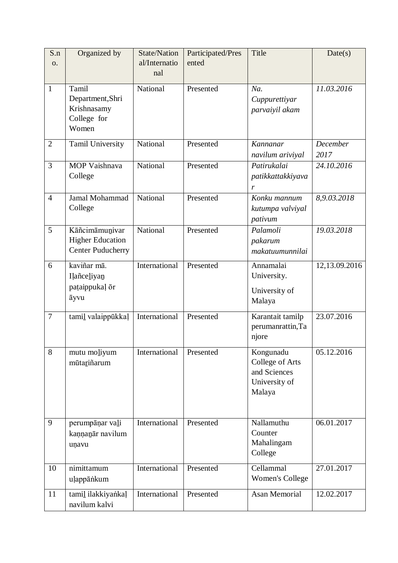| S.n<br><b>O.</b> | Organized by                                                          | <b>State/Nation</b><br>al/Internatio<br>nal | Participated/Pres<br>ented | Title                                                                   | Date(s)          |
|------------------|-----------------------------------------------------------------------|---------------------------------------------|----------------------------|-------------------------------------------------------------------------|------------------|
| $\mathbf{1}$     | Tamil<br>Department, Shri<br>Krishnasamy<br>College for<br>Women      | National                                    | Presented                  | Na.<br>Cuppurettiyar<br>parvaiyil akam                                  | 11.03.2016       |
| $\overline{2}$   | Tamil University                                                      | National                                    | Presented                  | Kannanar<br>navilum ariviyal                                            | December<br>2017 |
| 3                | MOP Vaishnava<br>College                                              | National                                    | Presented                  | Patirukalai<br>patikkattakkiyava<br>r                                   | 24.10.2016       |
| $\overline{4}$   | Jamal Mohammad<br>College                                             | National                                    | Presented                  | Konku mannum<br>kutumpa valviyal<br>pativum                             | 8,9.03.2018      |
| 5                | Kāñcimāmunivar<br><b>Higher Education</b><br><b>Center Puducherry</b> | National                                    | Presented                  | Palamoli<br>pakarum<br>makatuumunnilai                                  | 19.03.2018       |
| 6                | kaviñar mā.<br>Ilañceliyan<br>pataippukal or<br>āyvu                  | International                               | Presented                  | Annamalai<br>University.<br>University of<br>Malaya                     | 12,13.09.2016    |
| $\overline{7}$   | tamil valaippūkkaļ                                                    | International                               | Presented                  | Karantait tamilp<br>perumanrattin, Ta<br>njore                          | 23.07.2016       |
| 8                | mutu moliyum<br>mūtariñarum                                           | International                               | Presented                  | Kongunadu<br>College of Arts<br>and Sciences<br>University of<br>Malaya | 05.12.2016       |
| 9                | perumpāņar vali<br>kannanār navilum<br>uņavu                          | International                               | Presented                  | Nallamuthu<br>Counter<br>Mahalingam<br>College                          | 06.01.2017       |
| 10               | nimittamum<br>uļappānkum                                              | International                               | Presented                  | Cellammal<br><b>Women's College</b>                                     | 27.01.2017       |
| 11               | tamil ilakkiyankal<br>navilum kalvi                                   | International                               | Presented                  | <b>Asan Memorial</b>                                                    | 12.02.2017       |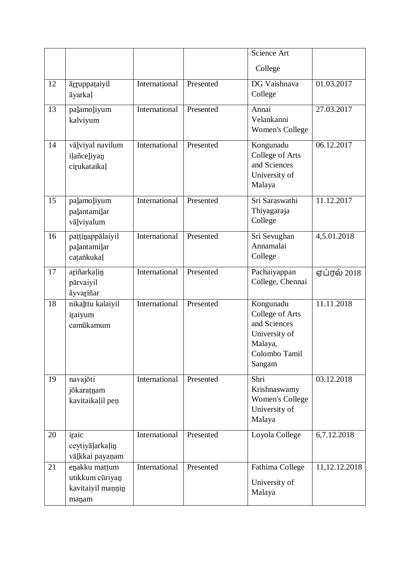|    |                                                                |               |           | Science Art                                                                                         |                  |
|----|----------------------------------------------------------------|---------------|-----------|-----------------------------------------------------------------------------------------------------|------------------|
|    |                                                                |               |           | College                                                                                             |                  |
| 12 | <i>arruppataiyil</i><br>āyarkaļ                                | International | Presented | DG Vaishnava<br>College                                                                             | 01.03.2017       |
| 13 | palamoliyum<br>kalviyum                                        | International | Presented | Annai<br>Velankanni<br><b>Women's College</b>                                                       | 27.03.2017       |
| 14 | vāļviyal navilum<br>ilañceliyan<br>cirukataikaļ                | International | Presented | Kongunadu<br>College of Arts<br>and Sciences<br>University of<br>Malaya                             | 06.12.2017       |
| 15 | palamoliyum<br>palantamilar<br>vālviyalum                      | International | Presented | Sri Saraswathi<br>Thiyagaraja<br>College                                                            | 11.12.2017       |
| 16 | pattinappālaiyil<br>palantamilar<br>catankukal                 | International | Presented | Sri Sevughan<br>Annamalai<br>College                                                                | 4,5.01.2018      |
| 17 | ariñarkalin<br>pārvaiyil<br>āyvariñar                          | International | Presented | Pachaiyappan<br>College, Chennai                                                                    | ஏப்ரல் 2018      |
| 18 | nikalttu kalaiyil<br>iraiyum<br>camūkamum                      | International | Presented | Kongunadu<br>College of Arts<br>and Sciences<br>University of<br>Malaya,<br>Colombo Tamil<br>Sangam | 11.11.2018       |
| 19 | navajōti<br>jōkaratnam<br>kavitaikaļil peņ                     | International | Presented | Shri<br>Krishnaswamy<br>Women's College<br>University of<br>Malaya                                  | 03.12.2018       |
| 20 | iraic<br>ceytiyalarkalin<br>vālkkai payaņam                    | International | Presented | Loyola College                                                                                      | 6,7.12.2018      |
| 21 | enakku mattum<br>utikkum cūriyan<br>kavitaiyil mannin<br>manam | International | Presented | Fathima College<br>University of<br>Malaya                                                          | 11, 12. 12. 2018 |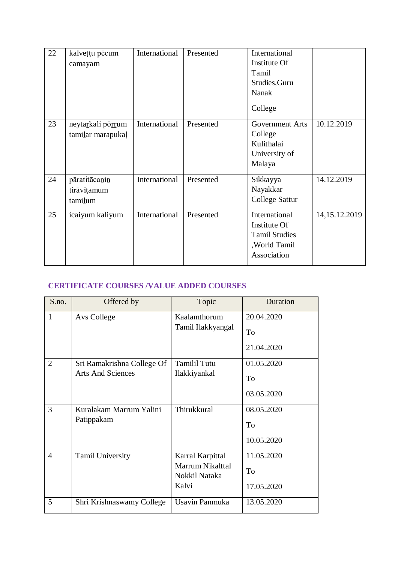| 22 | kalvețțu pēcum<br>camayam               | International | Presented | International<br>Institute Of<br>Tamil<br>Studies, Guru<br>Nanak<br>College           |                  |
|----|-----------------------------------------|---------------|-----------|---------------------------------------------------------------------------------------|------------------|
| 23 | neytarkali pörrum<br>tamilar marapukal  | International | Presented | Government Arts<br>College<br>Kulithalai<br>University of<br>Malaya                   | 10.12.2019       |
| 24 | pāratitācanin<br>tirāvitamum<br>tamilum | International | Presented | Sikkayya<br>Nayakkar<br><b>College Sattur</b>                                         | 14.12.2019       |
| 25 | icaiyum kaliyum                         | International | Presented | International<br>Institute Of<br><b>Tamil Studies</b><br>, World Tamil<br>Association | 14, 15. 12. 2019 |

# **CERTIFICATE COURSES /VALUE ADDED COURSES**

| S.no.          | Offered by                                             | Topic                                                          | Duration                       |
|----------------|--------------------------------------------------------|----------------------------------------------------------------|--------------------------------|
| 1              | Avs College                                            | Kaalamthorum<br>Tamil Ilakkyangal                              | 20.04.2020<br>To<br>21.04.2020 |
| $\overline{2}$ | Sri Ramakrishna College Of<br><b>Arts And Sciences</b> | <b>Tamilil Tutu</b><br>Ilakkiyankal                            | 01.05.2020<br>To<br>03.05.2020 |
| 3              | Kuralakam Marrum Yalini<br>Patippakam                  | Thirukkural                                                    | 08.05.2020<br>To<br>10.05.2020 |
| $\overline{4}$ | <b>Tamil University</b>                                | Karral Karpittal<br>Marrum Nikalttal<br>Nokkil Nataka<br>Kalvi | 11.05.2020<br>To<br>17.05.2020 |
| 5              | Shri Krishnaswamy College                              | Usavin Panmuka                                                 | 13.05.2020                     |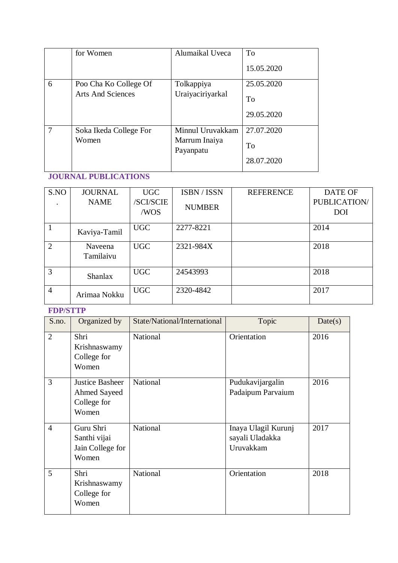|   | for Women                                         | Alumaikal Uveca            | To         |
|---|---------------------------------------------------|----------------------------|------------|
|   |                                                   |                            | 15.05.2020 |
| 6 | Poo Cha Ko College Of<br><b>Arts And Sciences</b> | Tolkappiya                 | 25.05.2020 |
|   |                                                   | Uraiyaciriyarkal           | To         |
|   |                                                   |                            | 29.05.2020 |
|   | Soka Ikeda College For                            | Minnul Uruvakkam           | 27.07.2020 |
|   | Women                                             | Marrum Inaiya<br>Payanpatu | To         |
|   |                                                   |                            | 28.07.2020 |

# **JOURNAL PUBLICATIONS**

| S.NO           | <b>JOURNAL</b>       | <b>UGC</b>              | ISBN / ISSN   | <b>REFERENCE</b> | <b>DATE OF</b>             |
|----------------|----------------------|-------------------------|---------------|------------------|----------------------------|
|                | <b>NAME</b>          | <b>SCI/SCIE</b><br>/WOS | <b>NUMBER</b> |                  | PUBLICATION/<br><b>DOI</b> |
|                | Kaviya-Tamil         | <b>UGC</b>              | 2277-8221     |                  | 2014                       |
| 2              | Naveena<br>Tamilaivu | <b>UGC</b>              | 2321-984X     |                  | 2018                       |
| 3              | <b>Shanlax</b>       | <b>UGC</b>              | 24543993      |                  | 2018                       |
| $\overline{4}$ | Arimaa Nokku         | <b>UGC</b>              | 2320-4842     |                  | 2017                       |

## **FDP/STTP**

| S.no.          | Organized by                                            | State/National/International | Topic                                               | Date(s) |
|----------------|---------------------------------------------------------|------------------------------|-----------------------------------------------------|---------|
| $\overline{2}$ | Shri<br>Krishnaswamy<br>College for<br>Women            | National                     | Orientation                                         | 2016    |
| $\overline{3}$ | Justice Basheer<br>Ahmed Sayeed<br>College for<br>Women | National                     | Pudukavijargalin<br>Padaipum Parvaium               | 2016    |
| $\overline{4}$ | Guru Shri<br>Santhi vijai<br>Jain College for<br>Women  | <b>National</b>              | Inaya Ulagil Kurunj<br>sayali Uladakka<br>Uruvakkam | 2017    |
| 5              | Shri<br>Krishnaswamy<br>College for<br>Women            | National                     | Orientation                                         | 2018    |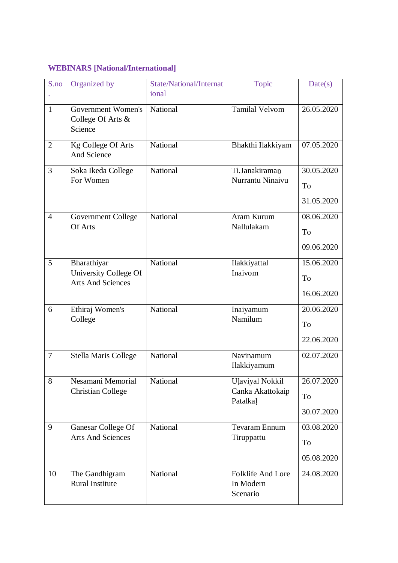# **WEBINARS [National/International]**

| S.no           | Organized by                                                     | State/National/Internat<br>ional | Topic                                                  | Date(s)                        |
|----------------|------------------------------------------------------------------|----------------------------------|--------------------------------------------------------|--------------------------------|
| $\mathbf{1}$   | Government Women's<br>College Of Arts &<br>Science               | National                         | <b>Tamilal Velvom</b>                                  | 26.05.2020                     |
| $\overline{2}$ | Kg College Of Arts<br>And Science                                | <b>National</b>                  | Bhakthi Ilakkiyam                                      | 07.05.2020                     |
| 3              | Soka Ikeda College<br>For Women                                  | National                         | Ti.Janakiraman<br>Nurrantu Ninaivu                     | 30.05.2020<br>To<br>31.05.2020 |
| $\overline{4}$ | Government College<br>Of Arts                                    | National                         | Aram Kurum<br>Nallulakam                               | 08.06.2020<br>To<br>09.06.2020 |
| 5              | Bharathiyar<br>University College Of<br><b>Arts And Sciences</b> | National                         | Ilakkiyattal<br>Inaivom                                | 15.06.2020<br>To<br>16.06.2020 |
| 6              | Ethiraj Women's<br>College                                       | National                         | Inaiyamum<br>Namilum                                   | 20.06.2020<br>To<br>22.06.2020 |
| $\overline{7}$ | <b>Stella Maris College</b>                                      | National                         | Navinamum<br>Ilakkiyamum                               | 02.07.2020                     |
| 8              | Nesamani Memorial<br><b>Christian College</b>                    | National                         | <b>Ulaviyal Nokkil</b><br>Canka Akattokaip<br>Patalkal | 26.07.2020<br>To<br>30.07.2020 |
| 9              | Ganesar College Of<br><b>Arts And Sciences</b>                   | National                         | Tevaram Ennum<br>Tiruppattu                            | 03.08.2020<br>To<br>05.08.2020 |
| 10             | The Gandhigram<br><b>Rural Institute</b>                         | National                         | Folklife And Lore<br>In Modern<br>Scenario             | 24.08.2020                     |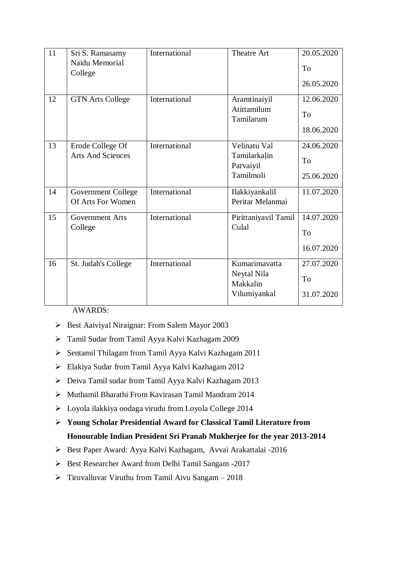| 11 | Sri S. Ramasamy           | International | <b>Theatre Art</b>        | 20.05.2020 |
|----|---------------------------|---------------|---------------------------|------------|
|    | Naidu Memorial<br>College |               |                           | To         |
|    |                           |               |                           | 26.05.2020 |
| 12 | <b>GTN Arts College</b>   | International | Aramtinaiyil              | 12.06.2020 |
|    |                           |               | Atittamilum<br>Tamilarum  | To         |
|    |                           |               |                           | 18.06.2020 |
| 13 | Erode College Of          | International | Velinatu Val              | 24.06.2020 |
|    | <b>Arts And Sciences</b>  |               | Tamilarkalin<br>Parvaiyil | To         |
|    |                           |               | Tamilmoli                 | 25.06.2020 |
| 14 | Government College        | International | Ilakkiyankalil            | 11.07.2020 |
|    | Of Arts For Women         |               | Peritar Melanmai          |            |
| 15 | <b>Government Arts</b>    | International | Pirittaniyavil Tamil      | 14.07.2020 |
|    | College                   |               | Culal                     | To         |
|    |                           |               |                           | 16.07.2020 |
| 16 | St. Judah's College       | International | Kumarimavatta             | 27.07.2020 |
|    |                           |               | Neytal Nila<br>Makkalin   | To         |
|    |                           |               | Vilumiyankal              | 31.07.2020 |

AWARDS:

- $\triangleright$  Best Aaiviyal Niraignar: From Salem Mayor 2003
- Tamil Sudar from Tamil Ayya Kalvi Kazhagam 2009
- Sentamil Thilagam from Tamil Ayya Kalvi Kazhagam 2011
- Elakiya Sudar from Tamil Ayya Kalvi Kazhagam 2012
- Deiva Tamil sudar from Tamil Ayya Kalvi Kazhagam 2013
- Muthamil Bharathi From Kavirasan Tamil Mandram 2014
- Loyola ilakkiya oodaga virudu from Loyola College 2014
- **Young Scholar Presidential Award for Classical Tamil Literature from Honourable Indian President Sri Pranab Mukherjee for the year 2013-2014**
- Best Paper Award: Ayya Kalvi Kazhagam, Avvai Arakattalai -2016
- $\triangleright$  Best Researcher Award from Delhi Tamil Sangam -2017
- $\triangleright$  Tiruvalluvar Viruthu from Tamil Aivu Sangam 2018